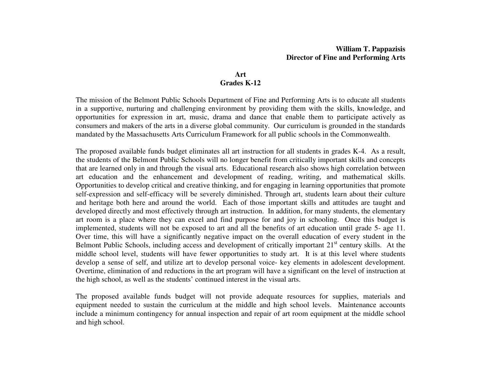### **Art Grades K-12**

The mission of the Belmont Public Schools Department of Fine and Performing Arts is to educate all students in a supportive, nurturing and challenging environment by providing them with the skills, knowledge, and opportunities for expression in art, music, drama and dance that enable them to participate actively as consumers and makers of the arts in a diverse global community. Our curriculum is grounded in the standards mandated by the Massachusetts Arts Curriculum Framework for all public schools in the Commonwealth.

The proposed available funds budget eliminates all art instruction for all students in grades K-4. As a result, the students of the Belmont Public Schools will no longer benefit from critically important skills and concepts that are learned only in and through the visual arts. Educational research also shows high correlation between art education and the enhancement and development of reading, writing, and mathematical skills. Opportunities to develop critical and creative thinking, and for engaging in learning opportunities that promote self-expression and self-efficacy will be severely diminished. Through art, students learn about their culture and heritage both here and around the world. Each of those important skills and attitudes are taught and developed directly and most effectively through art instruction. In addition, for many students, the elementary art room is a place where they can excel and find purpose for and joy in schooling. Once this budget is implemented, students will not be exposed to art and all the benefits of art education until grade 5- age 11. Over time, this will have a significantly negative impact on the overall education of every student in the Belmont Public Schools, including access and development of critically important 21<sup>st</sup> century skills. At the middle school level, students will have fewer opportunities to study art. It is at this level where students develop a sense of self, and utilize art to develop personal voice- key elements in adolescent development. Overtime, elimination of and reductions in the art program will have a significant on the level of instruction at the high school, as well as the students' continued interest in the visual arts.

The proposed available funds budget will not provide adequate resources for supplies, materials and equipment needed to sustain the curriculum at the middle and high school levels. Maintenance accounts include a minimum contingency for annual inspection and repair of art room equipment at the middle school and high school.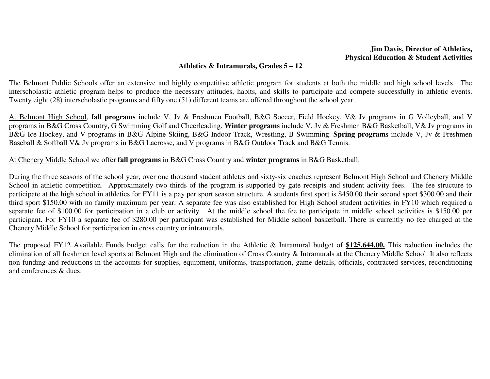## **Jim Davis, Director of Athletics, Physical Education & Student Activities**

### **Athletics & Intramurals, Grades 5 – 12**

The Belmont Public Schools offer an extensive and highly competitive athletic program for students at both the middle and high school levels. The interscholastic athletic program helps to produce the necessary attitudes, habits, and skills to participate and compete successfully in athletic events.Twenty eight (28) interscholastic programs and fifty one (51) different teams are offered throughout the school year.

At Belmont High School, **fall programs** include V, Jv & Freshmen Football, B&G Soccer, Field Hockey, V& Jv programs in G Volleyball, and V programs in B&G Cross Country, G Swimming Golf and Cheerleading. **Winter programs** include V, Jv & Freshmen B&G Basketball, V& Jv programs in B&G Ice Hockey, and V programs in B&G Alpine Skiing, B&G Indoor Track, Wrestling, B Swimming. **Spring programs** include V, Jv & Freshmen Baseball & Softball V& Jv programs in B&G Lacrosse, and V programs in B&G Outdoor Track and B&G Tennis.

At Chenery Middle School we offer **fall programs** in B&G Cross Country and **winter programs** in B&G Basketball.

During the three seasons of the school year, over one thousand student athletes and sixty-six coaches represent Belmont High School and Chenery Middle School in athletic competition. Approximately two thirds of the program is supported by gate receipts and student activity fees. The fee structure to participate at the high school in athletics for FY11 is a pay per sport season structure. A students first sport is \$450.00 their second sport \$300.00 and their third sport \$150.00 with no family maximum per year. A separate fee was also established for High School student activities in FY10 which required a separate fee of \$100.00 for participation in a club or activity. At the middle school the fee to participate in middle school activities is \$150.00 per participant. For FY10 a separate fee of \$280.00 per participant was established for Middle school basketball. There is currently no fee charged at the Chenery Middle School for participation in cross country or intramurals.

The proposed FY12 Available Funds budget calls for the reduction in the Athletic & Intramural budget of **\$125,644.00.** This reduction includes the elimination of all freshmen level sports at Belmont High and the elimination of Cross Country & Intramurals at the Chenery Middle School. It also reflects non funding and reductions in the accounts for supplies, equipment, uniforms, transportation, game details, officials, contracted services, reconditioning and conferences & dues.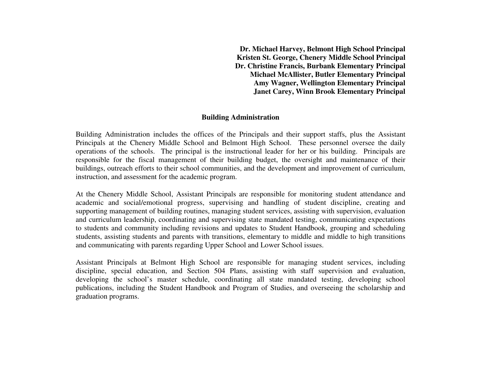**Dr. Michael Harvey, Belmont High School Principal Kristen St. George, Chenery Middle School Principal Dr. Christine Francis, Burbank Elementary Principal Michael McAllister, Butler Elementary Principal Amy Wagner, Wellington Elementary Principal Janet Carey, Winn Brook Elementary Principal** 

#### **Building Administration**

Building Administration includes the offices of the Principals and their support staffs, plus the Assistant Principals at the Chenery Middle School and Belmont High School. These personnel oversee the daily operations of the schools. The principal is the instructional leader for her or his building. Principals are responsible for the fiscal management of their building budget, the oversight and maintenance of their buildings, outreach efforts to their school communities, and the development and improvement of curriculum, instruction, and assessment for the academic program.

At the Chenery Middle School, Assistant Principals are responsible for monitoring student attendance and academic and social/emotional progress, supervising and handling of student discipline, creating and supporting management of building routines, managing student services, assisting with supervision, evaluation and curriculum leadership, coordinating and supervising state mandated testing, communicating expectations to students and community including revisions and updates to Student Handbook, grouping and scheduling students, assisting students and parents with transitions, elementary to middle and middle to high transitions and communicating with parents regarding Upper School and Lower School issues.

Assistant Principals at Belmont High School are responsible for managing student services, including discipline, special education, and Section 504 Plans, assisting with staff supervision and evaluation,developing the school's master schedule, coordinating all state mandated testing, developing school publications, including the Student Handbook and Program of Studies, and overseeing the scholarship and graduation programs.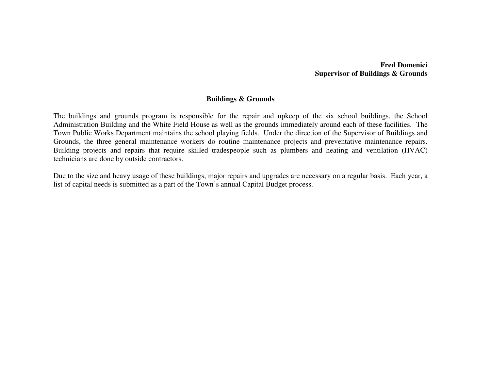## **Fred Domenici Supervisor of Buildings & Grounds**

## **Buildings & Grounds**

The buildings and grounds program is responsible for the repair and upkeep of the six school buildings, the School Administration Building and the White Field House as well as the grounds immediately around each of these facilities. The Town Public Works Department maintains the school playing fields. Under the direction of the Supervisor of Buildings and Grounds, the three general maintenance workers do routine maintenance projects and preventative maintenance repairs. Building projects and repairs that require skilled tradespeople such as plumbers and heating and ventilation (HVAC) technicians are done by outside contractors.

Due to the size and heavy usage of these buildings, major repairs and upgrades are necessary on a regular basis. Each year, a list of capital needs is submitted as a part of the Town's annual Capital Budget process.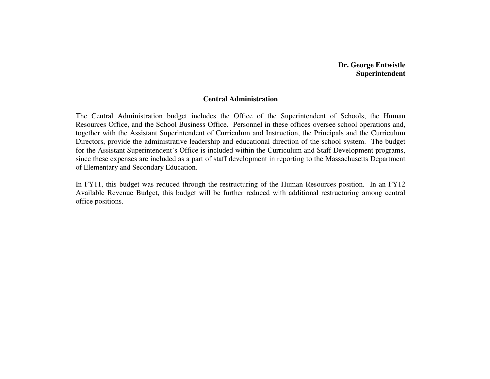# **Dr. George Entwistle Superintendent**

#### **Central Administration**

The Central Administration budget includes the Office of the Superintendent of Schools, the Human Resources Office, and the School Business Office. Personnel in these offices oversee school operations and, together with the Assistant Superintendent of Curriculum and Instruction, the Principals and the Curriculum Directors, provide the administrative leadership and educational direction of the school system. The budget for the Assistant Superintendent's Office is included within the Curriculum and Staff Development programs, since these expenses are included as a part of staff development in reporting to the Massachusetts Department of Elementary and Secondary Education.

In FY11, this budget was reduced through the restructuring of the Human Resources position. In an FY12 Available Revenue Budget, this budget will be further reduced with additional restructuring among central office positions.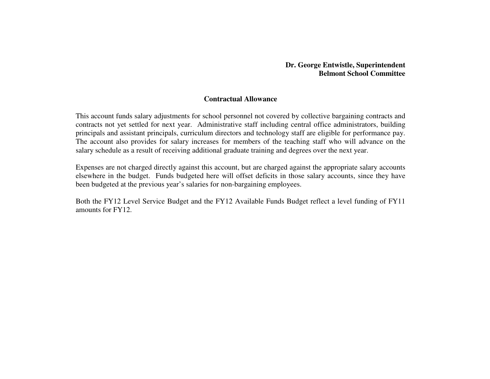## **Dr. George Entwistle, Superintendent Belmont School Committee**

## **Contractual Allowance**

This account funds salary adjustments for school personnel not covered by collective bargaining contracts and contracts not yet settled for next year. Administrative staff including central office administrators, building principals and assistant principals, curriculum directors and technology staff are eligible for performance pay. The account also provides for salary increases for members of the teaching staff who will advance on the salary schedule as a result of receiving additional graduate training and degrees over the next year.

Expenses are not charged directly against this account, but are charged against the appropriate salary accounts elsewhere in the budget. Funds budgeted here will offset deficits in those salary accounts, since they have been budgeted at the previous year's salaries for non-bargaining employees.

Both the FY12 Level Service Budget and the FY12 Available Funds Budget reflect a level funding of FY11amounts for FY12.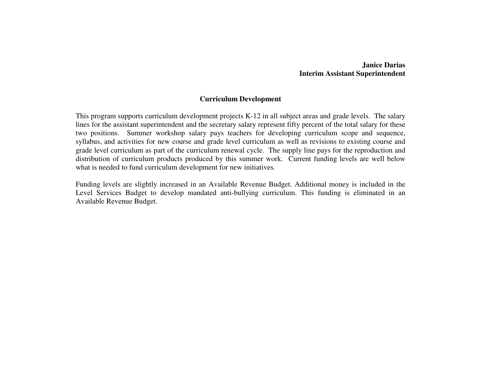## **Janice Darias Interim Assistant Superintendent**

## **Curriculum Development**

This program supports curriculum development projects K-12 in all subject areas and grade levels. The salary lines for the assistant superintendent and the secretary salary represent fifty percent of the total salary for these two positions. Summer workshop salary pays teachers for developing curriculum scope and sequence, syllabus, and activities for new course and grade level curriculum as well as revisions to existing course and grade level curriculum as part of the curriculum renewal cycle. The supply line pays for the reproduction and distribution of curriculum products produced by this summer work. Current funding levels are well below what is needed to fund curriculum development for new initiatives.

Funding levels are slightly increased in an Available Revenue Budget. Additional money is included in the Level Services Budget to develop mandated anti-bullying curriculum. This funding is eliminated in an Available Revenue Budget.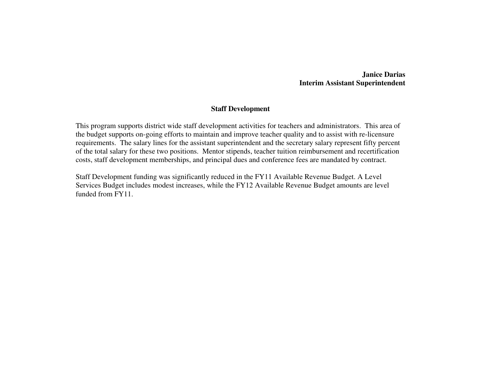**Janice Darias Interim Assistant Superintendent** 

## **Staff Development**

This program supports district wide staff development activities for teachers and administrators. This area of the budget supports on-going efforts to maintain and improve teacher quality and to assist with re-licensure requirements. The salary lines for the assistant superintendent and the secretary salary represent fifty percent of the total salary for these two positions. Mentor stipends, teacher tuition reimbursement and recertification costs, staff development memberships, and principal dues and conference fees are mandated by contract.

Staff Development funding was significantly reduced in the FY11 Available Revenue Budget. A Level Services Budget includes modest increases, while the FY12 Available Revenue Budget amounts are level funded from FY11.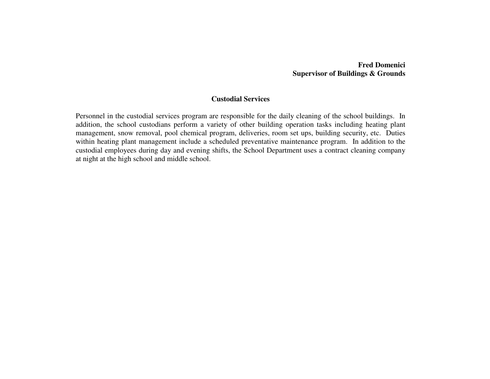# **Fred Domenici Supervisor of Buildings & Grounds**

## **Custodial Services**

Personnel in the custodial services program are responsible for the daily cleaning of the school buildings. In addition, the school custodians perform a variety of other building operation tasks including heating plant management, snow removal, pool chemical program, deliveries, room set ups, building security, etc. Duties within heating plant management include a scheduled preventative maintenance program. In addition to the custodial employees during day and evening shifts, the School Department uses a contract cleaning company at night at the high school and middle school.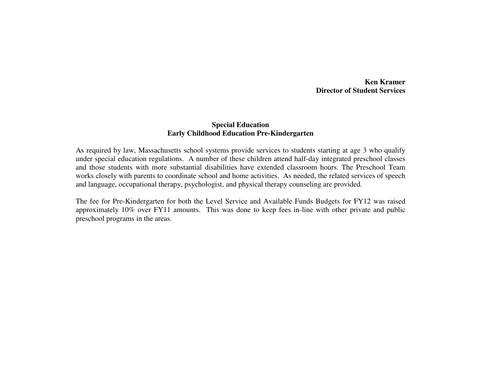**Ken Kramer Director of Student Services** 

## **Special Education Early Childhood Education Pre-Kindergarten**

As required by law, Massachusetts school systems provide services to students starting at age 3 who qualify under special education regulations. A number of these children attend half-day integrated preschool classes and those students with more substantial disabilities have extended classroom hours. The Preschool Team works closely with parents to coordinate school and home activities. As needed, the related services of speech and language, occupational therapy, psychologist, and physical therapy counseling are provided.

The fee for Pre-Kindergarten for both the Level Service and Available Funds Budgets for FY12 was raised approximately 10% over FY11 amounts. This was done to keep fees in-line with other private and publicpreschool programs in the areas.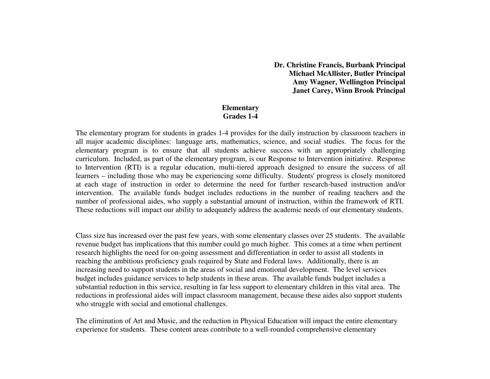**Dr. Christine Francis, Burbank Principal Michael McAllister, Butler Principal Amy Wagner, Wellington Principal Janet Carey, Winn Brook Principal** 

## **Elementary Grades 1-4**

The elementary program for students in grades 1-4 provides for the daily instruction by classroom teachers in all major academic disciplines: language arts, mathematics, science, and social studies. The focus for the elementary program is to ensure that all students achieve success with an appropriately challenging curriculum. Included, as part of the elementary program, is our Response to Intervention initiative. Response to Intervention (RTI) is a regular education, multi-tiered approach designed to ensure the success of all learners – including those who may be experiencing some difficulty. Students' progress is closely monitored at each stage of instruction in order to determine the need for further research-based instruction and/or intervention. The available funds budget includes reductions in the number of reading teachers and the number of professional aides, who supply a substantial amount of instruction, within the framework of RTI. These reductions will impact our ability to adequately address the academic needs of our elementary students.

Class size has increased over the past few years, with some elementary classes over 25 students. The available revenue budget has implications that this number could go much higher. This comes at a time when pertinent research highlights the need for on-going assessment and differentiation in order to assist all students in reaching the ambitious proficiency goals required by State and Federal laws. Additionally, there is an increasing need to support students in the areas of social and emotional development. The level services budget includes guidance services to help students in these areas. The available funds budget includes a substantial reduction in this service, resulting in far less support to elementary children in this vital area. The reductions in professional aides will impact classroom management, because these aides also support students who struggle with social and emotional challenges.

The elimination of Art and Music, and the reduction in Physical Education will impact the entire elementary experience for students. These content areas contribute to a well-rounded comprehensive elementary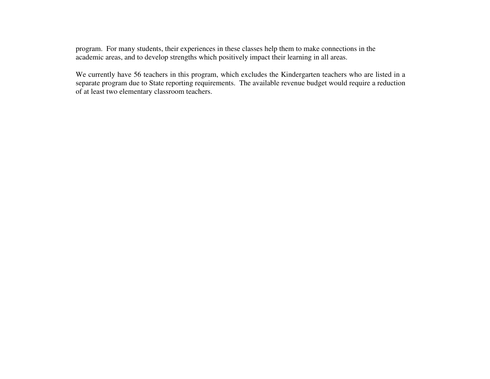program. For many students, their experiences in these classes help them to make connections in the academic areas, and to develop strengths which positively impact their learning in all areas.

We currently have 56 teachers in this program, which excludes the Kindergarten teachers who are listed in a separate program due to State reporting requirements. The available revenue budget would require a reduction of at least two elementary classroom teachers.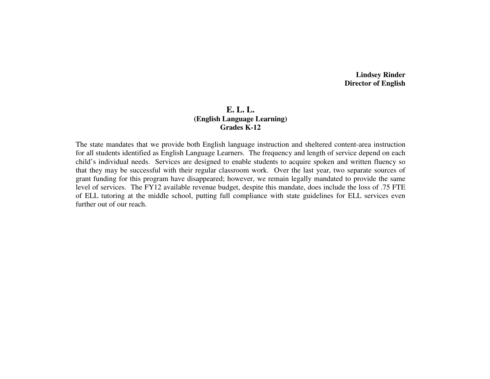**Lindsey Rinder Director of English** 

# **E. L. L. (English Language Learning) Grades K-12**

The state mandates that we provide both English language instruction and sheltered content-area instruction for all students identified as English Language Learners. The frequency and length of service depend on each child's individual needs. Services are designed to enable students to acquire spoken and written fluency so that they may be successful with their regular classroom work. Over the last year, two separate sources of grant funding for this program have disappeared; however, we remain legally mandated to provide the same level of services. The FY12 available revenue budget, despite this mandate, does include the loss of .75 FTE of ELL tutoring at the middle school, putting full compliance with state guidelines for ELL services even further out of our reach.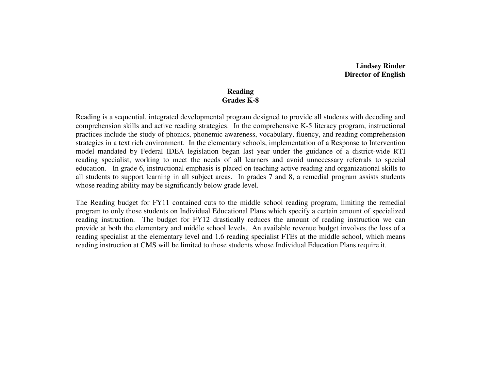**Lindsey Rinder Director of English** 

## **Reading Grades K-8**

Reading is a sequential, integrated developmental program designed to provide all students with decoding and comprehension skills and active reading strategies. In the comprehensive K-5 literacy program, instructional practices include the study of phonics, phonemic awareness, vocabulary, fluency, and reading comprehension strategies in a text rich environment. In the elementary schools, implementation of a Response to Intervention model mandated by Federal IDEA legislation began last year under the guidance of a district-wide RTI reading specialist, working to meet the needs of all learners and avoid unnecessary referrals to special education. In grade 6, instructional emphasis is placed on teaching active reading and organizational skills to all students to support learning in all subject areas. In grades 7 and 8, a remedial program assists students whose reading ability may be significantly below grade level.

The Reading budget for FY11 contained cuts to the middle school reading program, limiting the remedial program to only those students on Individual Educational Plans which specify a certain amount of specialized reading instruction. The budget for FY12 drastically reduces the amount of reading instruction we can provide at both the elementary and middle school levels. An available revenue budget involves the loss of a reading specialist at the elementary level and 1.6 reading specialist FTEs at the middle school, which means reading instruction at CMS will be limited to those students whose Individual Education Plans require it.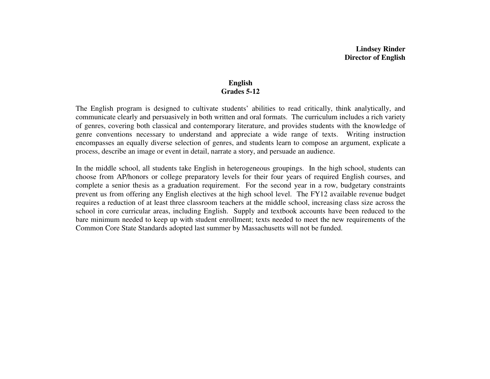## **English Grades 5-12**

The English program is designed to cultivate students' abilities to read critically, think analytically, and communicate clearly and persuasively in both written and oral formats. The curriculum includes a rich variety of genres, covering both classical and contemporary literature, and provides students with the knowledge of genre conventions necessary to understand and appreciate a wide range of texts. Writing instruction encompasses an equally diverse selection of genres, and students learn to compose an argument, explicate a process, describe an image or event in detail, narrate a story, and persuade an audience.

In the middle school, all students take English in heterogeneous groupings. In the high school, students can choose from AP/honors or college preparatory levels for their four years of required English courses, and complete a senior thesis as a graduation requirement. For the second year in a row, budgetary constraints prevent us from offering any English electives at the high school level. The FY12 available revenue budget requires a reduction of at least three classroom teachers at the middle school, increasing class size across the school in core curricular areas, including English. Supply and textbook accounts have been reduced to the bare minimum needed to keep up with student enrollment; texts needed to meet the new requirements of the Common Core State Standards adopted last summer by Massachusetts will not be funded.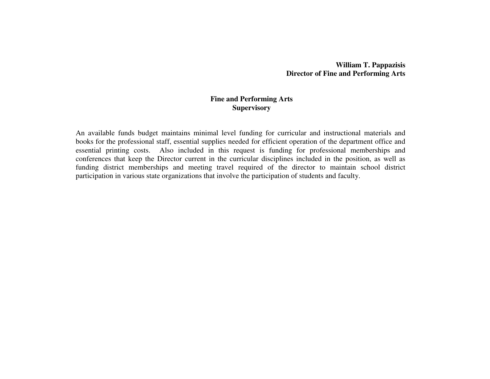## **William T. Pappazisis Director of Fine and Performing Arts**

## **Fine and Performing Arts Supervisory**

An available funds budget maintains minimal level funding for curricular and instructional materials and books for the professional staff, essential supplies needed for efficient operation of the department office and essential printing costs. Also included in this request is funding for professional memberships and conferences that keep the Director current in the curricular disciplines included in the position, as well as funding district memberships and meeting travel required of the director to maintain school district participation in various state organizations that involve the participation of students and faculty.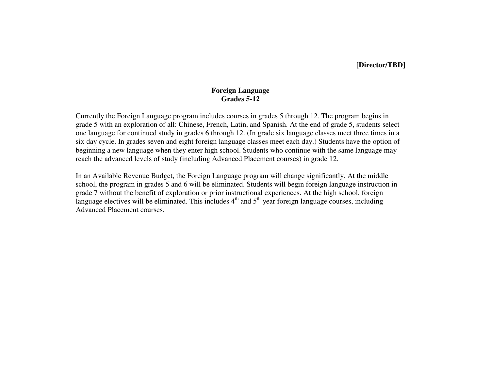## **[Director/TBD]**

## **Foreign Language Grades 5-12**

Currently the Foreign Language program includes courses in grades 5 through 12. The program begins in grade 5 with an exploration of all: Chinese, French, Latin, and Spanish. At the end of grade 5, students select one language for continued study in grades 6 through 12. (In grade six language classes meet three times in a six day cycle. In grades seven and eight foreign language classes meet each day.) Students have the option of beginning a new language when they enter high school. Students who continue with the same language mayreach the advanced levels of study (including Advanced Placement courses) in grade 12.

In an Available Revenue Budget, the Foreign Language program will change significantly. At the middle school, the program in grades 5 and 6 will be eliminated. Students will begin foreign language instruction in grade 7 without the benefit of exploration or prior instructional experiences. At the high school, foreign language electives will be eliminated. This includes  $4<sup>th</sup>$  and  $5<sup>th</sup>$  year foreign language courses, including Advanced Placement courses.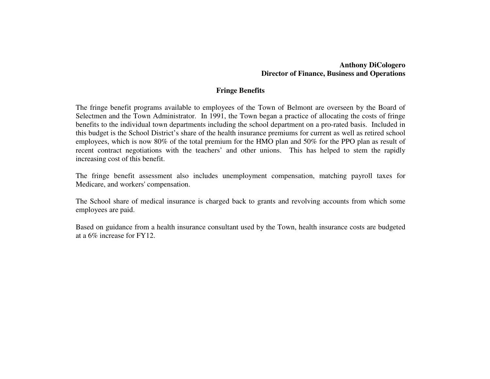## **Anthony DiCologero Director of Finance, Business and Operations**

## **Fringe Benefits**

The fringe benefit programs available to employees of the Town of Belmont are overseen by the Board of Selectmen and the Town Administrator. In 1991, the Town began a practice of allocating the costs of fringe benefits to the individual town departments including the school department on a pro-rated basis. Included in this budget is the School District's share of the health insurance premiums for current as well as retired school employees, which is now 80% of the total premium for the HMO plan and 50% for the PPO plan as result of recent contract negotiations with the teachers' and other unions. This has helped to stem the rapidlyincreasing cost of this benefit.

The fringe benefit assessment also includes unemployment compensation, matching payroll taxes for Medicare, and workers' compensation.

The School share of medical insurance is charged back to grants and revolving accounts from which someemployees are paid.

Based on guidance from a health insurance consultant used by the Town, health insurance costs are budgeted at a 6% increase for FY12.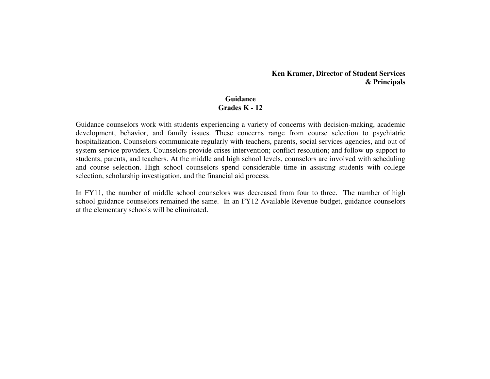**Ken Kramer, Director of Student Services & Principals** 

### **Guidance Grades K - 12**

Guidance counselors work with students experiencing a variety of concerns with decision-making, academic development, behavior, and family issues. These concerns range from course selection to psychiatric hospitalization. Counselors communicate regularly with teachers, parents, social services agencies, and out of system service providers. Counselors provide crises intervention; conflict resolution; and follow up support to students, parents, and teachers. At the middle and high school levels, counselors are involved with scheduling and course selection. High school counselors spend considerable time in assisting students with college selection, scholarship investigation, and the financial aid process.

In FY11, the number of middle school counselors was decreased from four to three. The number of high school guidance counselors remained the same. In an FY12 Available Revenue budget, guidance counselors at the elementary schools will be eliminated.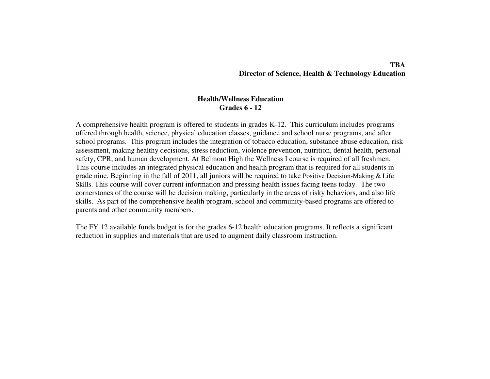### **TBA Director of Science, Health & Technology Education**

### **Health/Wellness Education Grades 6 - 12**

A comprehensive health program is offered to students in grades K-12. This curriculum includes programs offered through health, science, physical education classes, guidance and school nurse programs, and after school programs. This program includes the integration of tobacco education, substance abuse education, risk assessment, making healthy decisions, stress reduction, violence prevention, nutrition, dental health, personal safety, CPR, and human development. At Belmont High the Wellness I course is required of all freshmen. This course includes an integrated physical education and health program that is required for all students in grade nine. Beginning in the fall of 2011, all juniors will be required to take Positive Decision-Making & Life Skills. This course will cover current information and pressing health issues facing teens today. The two cornerstones of the course will be decision making, particularly in the areas of risky behaviors, and also life skills. As part of the comprehensive health program, school and community-based programs are offered to parents and other community members.

The FY 12 available funds budget is for the grades 6-12 health education programs. It reflects a significant reduction in supplies and materials that are used to augment daily classroom instruction.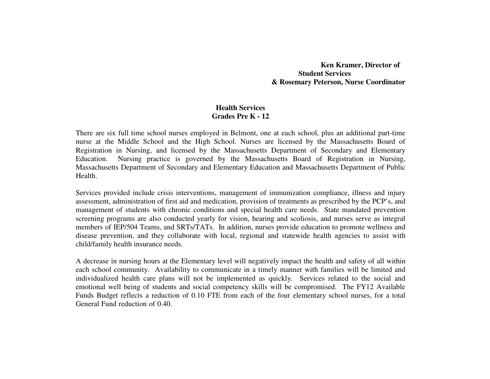**Ken Kramer, Director of Student Services & Rosemary Peterson, Nurse Coordinator** 

## **Health Services Grades Pre K - 12**

There are six full time school nurses employed in Belmont, one at each school, plus an additional part-time nurse at the Middle School and the High School. Nurses are licensed by the Massachusetts Board of Registration in Nursing, and licensed by the Massachusetts Department of Secondary and Elementary Education. Nursing practice is governed by the Massachusetts Board of Registration in Nursing, Massachusetts Department of Secondary and Elementary Education and Massachusetts Department of Public Health.

Services provided include crisis interventions, management of immunization compliance, illness and injury assessment, administration of first aid and medication, provision of treatments as prescribed by the PCP's, and management of students with chronic conditions and special health care needs. State mandated prevention screening programs are also conducted yearly for vision, hearing and scoliosis, and nurses serve as integral members of IEP/504 Teams, and SRTs/TATs. In addition, nurses provide education to promote wellness and disease prevention, and they collaborate with local, regional and statewide health agencies to assist with child/family health insurance needs.

A decrease in nursing hours at the Elementary level will negatively impact the health and safety of all within each school community. Availability to communicate in a timely manner with families will be limited and individualized health care plans will not be implemented as quickly. Services related to the social and emotional well being of students and social competency skills will be compromised. The FY12 Available Funds Budget reflects a reduction of 0.10 FTE from each of the four elementary school nurses, for a total General Fund reduction of  $0.40$ .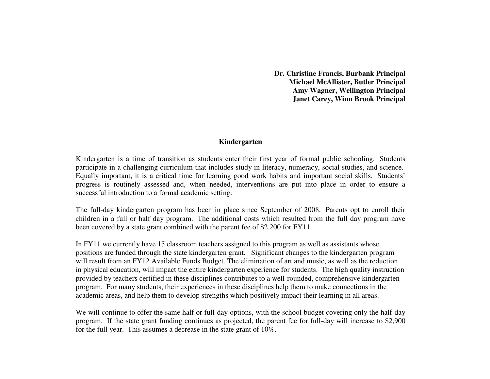**Dr. Christine Francis, Burbank Principal Michael McAllister, Butler Principal Amy Wagner, Wellington Principal Janet Carey, Winn Brook Principal** 

### **Kindergarten**

Kindergarten is a time of transition as students enter their first year of formal public schooling. Students participate in a challenging curriculum that includes study in literacy, numeracy, social studies, and science. Equally important, it is a critical time for learning good work habits and important social skills. Students' progress is routinely assessed and, when needed, interventions are put into place in order to ensure asuccessful introduction to a formal academic setting.

The full-day kindergarten program has been in place since September of 2008. Parents opt to enroll their children in a full or half day program. The additional costs which resulted from the full day program have been covered by a state grant combined with the parent fee of \$2,200 for FY11.

In FY11 we currently have 15 classroom teachers assigned to this program as well as assistants whose positions are funded through the state kindergarten grant. Significant changes to the kindergarten program will result from an FY12 Available Funds Budget. The elimination of art and music, as well as the reduction in physical education, will impact the entire kindergarten experience for students. The high quality instruction provided by teachers certified in these disciplines contributes to a well-rounded, comprehensive kindergarten program. For many students, their experiences in these disciplines help them to make connections in the academic areas, and help them to develop strengths which positively impact their learning in all areas.

We will continue to offer the same half or full-day options, with the school budget covering only the half-day program. If the state grant funding continues as projected, the parent fee for full-day will increase to \$2,900 for the full year. This assumes a decrease in the state grant of 10%.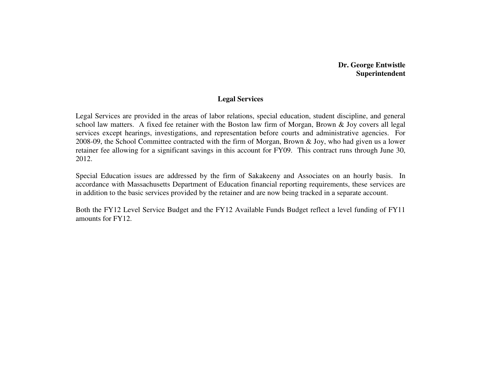# **Dr. George Entwistle Superintendent**

## **Legal Services**

Legal Services are provided in the areas of labor relations, special education, student discipline, and general school law matters. A fixed fee retainer with the Boston law firm of Morgan, Brown & Joy covers all legal services except hearings, investigations, and representation before courts and administrative agencies. For 2008-09, the School Committee contracted with the firm of Morgan, Brown & Joy, who had given us a lower retainer fee allowing for a significant savings in this account for FY09. This contract runs through June 30, 2012.

Special Education issues are addressed by the firm of Sakakeeny and Associates on an hourly basis. In accordance with Massachusetts Department of Education financial reporting requirements, these services are in addition to the basic services provided by the retainer and are now being tracked in a separate account.

Both the FY12 Level Service Budget and the FY12 Available Funds Budget reflect a level funding of FY11amounts for FY12.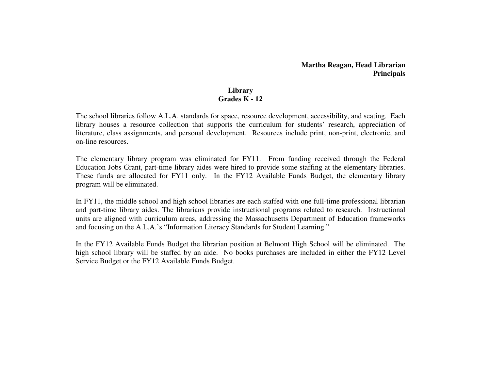## **Martha Reagan, Head Librarian Principals**

## **Library Grades K - 12**

The school libraries follow A.L.A. standards for space, resource development, accessibility, and seating. Each library houses a resource collection that supports the curriculum for students' research, appreciation of literature, class assignments, and personal development. Resources include print, non-print, electronic, and on-line resources.

The elementary library program was eliminated for FY11. From funding received through the Federal Education Jobs Grant, part-time library aides were hired to provide some staffing at the elementary libraries. These funds are allocated for FY11 only. In the FY12 Available Funds Budget, the elementary library program will be eliminated.

In FY11, the middle school and high school libraries are each staffed with one full-time professional librarian and part-time library aides. The librarians provide instructional programs related to research. Instructional units are aligned with curriculum areas, addressing the Massachusetts Department of Education frameworks and focusing on the A.L.A.'s "Information Literacy Standards for Student Learning."

In the FY12 Available Funds Budget the librarian position at Belmont High School will be eliminated. The high school library will be staffed by an aide. No books purchases are included in either the FY12 Level Service Budget or the FY12 Available Funds Budget.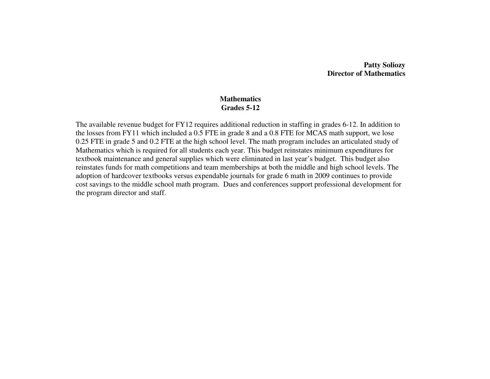## **Patty Soliozy Director of Mathematics**

#### **Mathematics Grades 5-12**

The available revenue budget for FY12 requires additional reduction in staffing in grades 6-12. In addition to the losses from FY11 which included a 0.5 FTE in grade 8 and a 0.8 FTE for MCAS math support, we lose 0.25 FTE in grade 5 and 0.2 FTE at the high school level. The math program includes an articulated study of Mathematics which is required for all students each year. This budget reinstates minimum expenditures for textbook maintenance and general supplies which were eliminated in last year's budget. This budget also reinstates funds for math competitions and team memberships at both the middle and high school levels. The adoption of hardcover textbooks versus expendable journals for grade 6 math in 2009 continues to provide cost savings to the middle school math program. Dues and conferences support professional development for the program director and staff.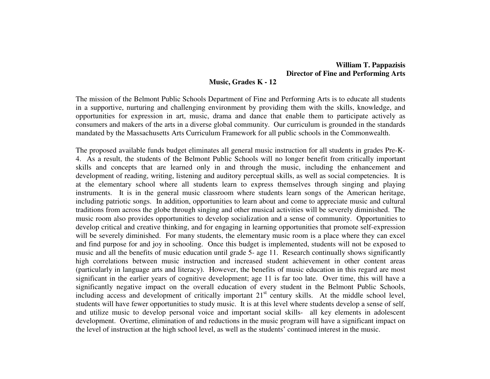# **William T. Pappazisis Director of Fine and Performing Arts**

#### **Music, Grades K - 12**

The mission of the Belmont Public Schools Department of Fine and Performing Arts is to educate all students in a supportive, nurturing and challenging environment by providing them with the skills, knowledge, and opportunities for expression in art, music, drama and dance that enable them to participate actively as consumers and makers of the arts in a diverse global community. Our curriculum is grounded in the standards mandated by the Massachusetts Arts Curriculum Framework for all public schools in the Commonwealth.

The proposed available funds budget eliminates all general music instruction for all students in grades Pre-K-4. As a result, the students of the Belmont Public Schools will no longer benefit from critically important skills and concepts that are learned only in and through the music, including the enhancement and development of reading, writing, listening and auditory perceptual skills, as well as social competencies. It is at the elementary school where all students learn to express themselves through singing and playing instruments. It is in the general music classroom where students learn songs of the American heritage, including patriotic songs. In addition, opportunities to learn about and come to appreciate music and cultural traditions from across the globe through singing and other musical activities will be severely diminished. The music room also provides opportunities to develop socialization and a sense of community. Opportunities to develop critical and creative thinking, and for engaging in learning opportunities that promote self-expression will be severely diminished. For many students, the elementary music room is a place where they can excel and find purpose for and joy in schooling. Once this budget is implemented, students will not be exposed to music and all the benefits of music education until grade 5- age 11. Research continually shows significantly high correlations between music instruction and increased student achievement in other content areas (particularly in language arts and literacy). However, the benefits of music education in this regard are most significant in the earlier years of cognitive development; age 11 is far too late. Over time, this will have a significantly negative impact on the overall education of every student in the Belmont Public Schools,including access and development of critically important  $21<sup>st</sup>$  century skills. At the middle school level, students will have fewer opportunities to study music. It is at this level where students develop a sense of self, and utilize music to develop personal voice and important social skills- all key elements in adolescent development. Overtime, elimination of and reductions in the music program will have a significant impact on the level of instruction at the high school level, as well as the students' continued interest in the music.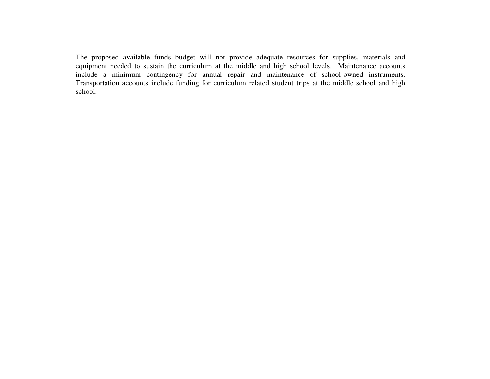The proposed available funds budget will not provide adequate resources for supplies, materials and equipment needed to sustain the curriculum at the middle and high school levels. Maintenance accounts include a minimum contingency for annual repair and maintenance of school-owned instruments. Transportation accounts include funding for curriculum related student trips at the middle school and high school.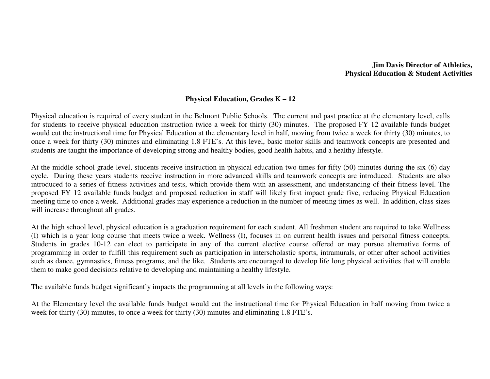## **Jim Davis Director of Athletics, Physical Education & Student Activities**

## **Physical Education, Grades K – 12**

Physical education is required of every student in the Belmont Public Schools. The current and past practice at the elementary level, calls for students to receive physical education instruction twice a week for thirty (30) minutes. The proposed FY 12 available funds budget would cut the instructional time for Physical Education at the elementary level in half, moving from twice a week for thirty (30) minutes, to once a week for thirty (30) minutes and eliminating 1.8 FTE's. At this level, basic motor skills and teamwork concepts are presented and students are taught the importance of developing strong and healthy bodies, good health habits, and a healthy lifestyle.

At the middle school grade level, students receive instruction in physical education two times for fifty (50) minutes during the six (6) day cycle. During these years students receive instruction in more advanced skills and teamwork concepts are introduced. Students are also introduced to a series of fitness activities and tests, which provide them with an assessment, and understanding of their fitness level. The proposed FY 12 available funds budget and proposed reduction in staff will likely first impact grade five, reducing Physical Education meeting time to once a week. Additional grades may experience a reduction in the number of meeting times as well. In addition, class sizes will increase throughout all grades.

At the high school level, physical education is a graduation requirement for each student. All freshmen student are required to take Wellness (I) which is a year long course that meets twice a week. Wellness (I), focuses in on current health issues and personal fitness concepts. Students in grades 10-12 can elect to participate in any of the current elective course offered or may pursue alternative forms of programming in order to fulfill this requirement such as participation in interscholastic sports, intramurals, or other after school activities such as dance, gymnastics, fitness programs, and the like. Students are encouraged to develop life long physical activities that will enable them to make good decisions relative to developing and maintaining a healthy lifestyle.

The available funds budget significantly impacts the programming at all levels in the following ways:

At the Elementary level the available funds budget would cut the instructional time for Physical Education in half moving from twice a week for thirty (30) minutes, to once a week for thirty (30) minutes and eliminating 1.8 FTE's.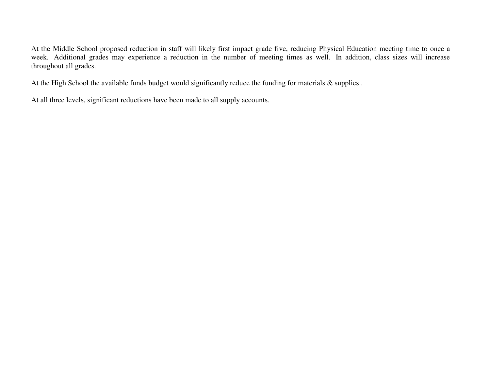At the Middle School proposed reduction in staff will likely first impact grade five, reducing Physical Education meeting time to once a week. Additional grades may experience a reduction in the number of meeting times as well. In addition, class sizes will increase throughout all grades.

At the High School the available funds budget would significantly reduce the funding for materials & supplies .

At all three levels, significant reductions have been made to all supply accounts.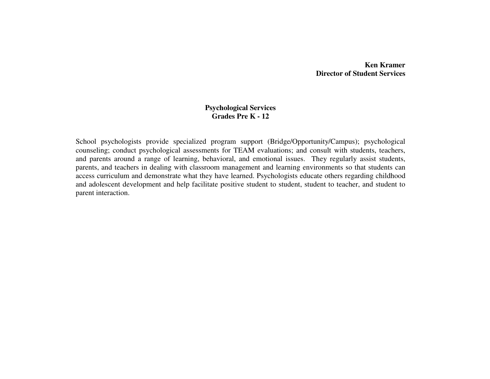# **Ken Kramer Director of Student Services**

## **Psychological Services Grades Pre K - 12**

School psychologists provide specialized program support (Bridge/Opportunity/Campus); psychological counseling; conduct psychological assessments for TEAM evaluations; and consult with students, teachers, and parents around a range of learning, behavioral, and emotional issues. They regularly assist students, parents, and teachers in dealing with classroom management and learning environments so that students can access curriculum and demonstrate what they have learned. Psychologists educate others regarding childhood and adolescent development and help facilitate positive student to student, student to teacher, and student to parent interaction.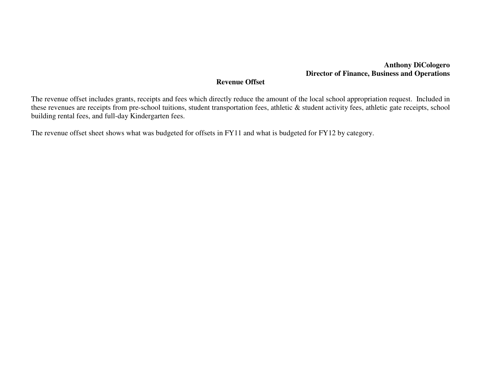# **Anthony DiCologero Director of Finance, Business and Operations**

# **Revenue Offset**

The revenue offset includes grants, receipts and fees which directly reduce the amount of the local school appropriation request. Included in these revenues are receipts from pre-school tuitions, student transportation fees, athletic & student activity fees, athletic gate receipts, school building rental fees, and full-day Kindergarten fees.

The revenue offset sheet shows what was budgeted for offsets in FY11 and what is budgeted for FY12 by category.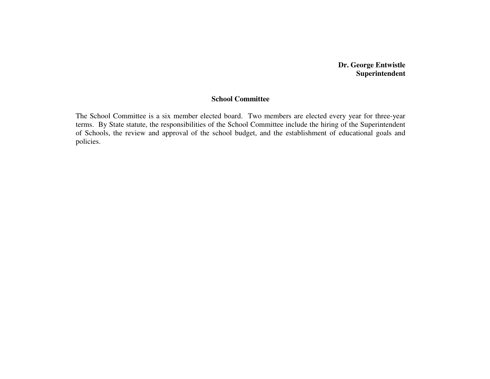# **Dr. George Entwistle Superintendent**

## **School Committee**

The School Committee is a six member elected board. Two members are elected every year for three-year terms. By State statute, the responsibilities of the School Committee include the hiring of the Superintendent of Schools, the review and approval of the school budget, and the establishment of educational goals and policies.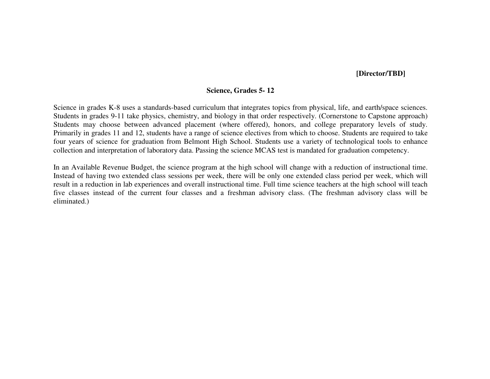## **[Director/TBD]**

## **Science, Grades 5- 12**

Science in grades K-8 uses a standards-based curriculum that integrates topics from physical, life, and earth/space sciences. Students in grades 9-11 take physics, chemistry, and biology in that order respectively. (Cornerstone to Capstone approach) Students may choose between advanced placement (where offered), honors, and college preparatory levels of study. Primarily in grades 11 and 12, students have a range of science electives from which to choose. Students are required to take four years of science for graduation from Belmont High School. Students use a variety of technological tools to enhance collection and interpretation of laboratory data. Passing the science MCAS test is mandated for graduation competency.

In an Available Revenue Budget, the science program at the high school will change with a reduction of instructional time. Instead of having two extended class sessions per week, there will be only one extended class period per week, which will result in a reduction in lab experiences and overall instructional time. Full time science teachers at the high school will teach five classes instead of the current four classes and a freshman advisory class. (The freshman advisory class will be eliminated.)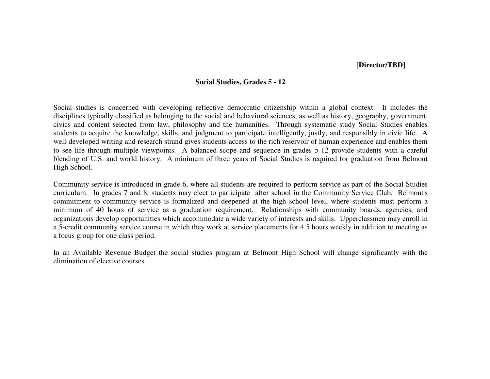## **[Director/TBD]**

#### **Social Studies, Grades 5 - 12**

Social studies is concerned with developing reflective democratic citizenship within a global context. It includes the disciplines typically classified as belonging to the social and behavioral sciences, as well as history, geography, government, civics and content selected from law, philosophy and the humanities. Through systematic study Social Studies enables students to acquire the knowledge, skills, and judgment to participate intelligently, justly, and responsibly in civic life. A well-developed writing and research strand gives students access to the rich reservoir of human experience and enables them to see life through multiple viewpoints. A balanced scope and sequence in grades 5-12 provide students with a careful blending of U.S. and world history. A minimum of three years of Social Studies is required for graduation from Belmont High School.

Community service is introduced in grade 6, where all students are required to perform service as part of the Social Studies curriculum. In grades 7 and 8, students may elect to participate after school in the Community Service Club. Belmont's commitment to community service is formalized and deepened at the high school level, where students must perform a minimum of 40 hours of service as a graduation requirement. Relationships with community boards, agencies, and organizations develop opportunities which accommodate a wide variety of interests and skills. Upperclassmen may enroll in a 5-credit community service course in which they work at service placements for 4.5 hours weekly in addition to meeting as a focus group for one class period.

In an Available Revenue Budget the social studies program at Belmont High School will change significantly with the elimination of elective courses.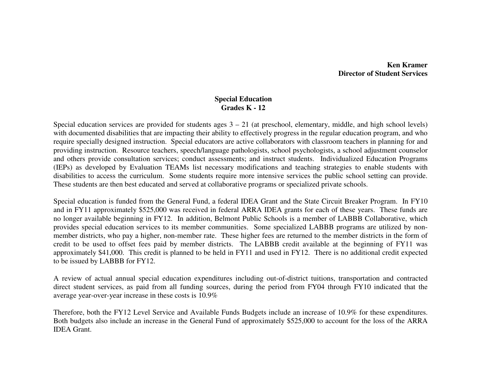## **Ken Kramer Director of Student Services**

## **Special Education Grades K - 12**

Special education services are provided for students ages  $3 - 21$  (at preschool, elementary, middle, and high school levels) with documented disabilities that are impacting their ability to effectively progress in the regular education program, and who require specially designed instruction. Special educators are active collaborators with classroom teachers in planning for and providing instruction. Resource teachers, speech/language pathologists, school psychologists, a school adjustment counselor and others provide consultation services; conduct assessments; and instruct students. Individualized Education Programs (IEPs) as developed by Evaluation TEAMs list necessary modifications and teaching strategies to enable students with disabilities to access the curriculum. Some students require more intensive services the public school setting can provide. These students are then best educated and served at collaborative programs or specialized private schools.

Special education is funded from the General Fund, a federal IDEA Grant and the State Circuit Breaker Program. In FY10 and in FY11 approximately \$525,000 was received in federal ARRA IDEA grants for each of these years. These funds are no longer available beginning in FY12. In addition, Belmont Public Schools is a member of LABBB Collaborative, which provides special education services to its member communities. Some specialized LABBB programs are utilized by nonmember districts, who pay a higher, non-member rate. These higher fees are returned to the member districts in the form of credit to be used to offset fees paid by member districts. The LABBB credit available at the beginning of FY11 was approximately \$41,000. This credit is planned to be held in FY11 and used in FY12. There is no additional credit expected to be issued by LABBB for FY12.

A review of actual annual special education expenditures including out-of-district tuitions, transportation and contracted direct student services, as paid from all funding sources, during the period from FY04 through FY10 indicated that the average year-over-year increase in these costs is 10.9%

Therefore, both the FY12 Level Service and Available Funds Budgets include an increase of 10.9% for these expenditures. Both budgets also include an increase in the General Fund of approximately \$525,000 to account for the loss of the ARRA IDEA Grant.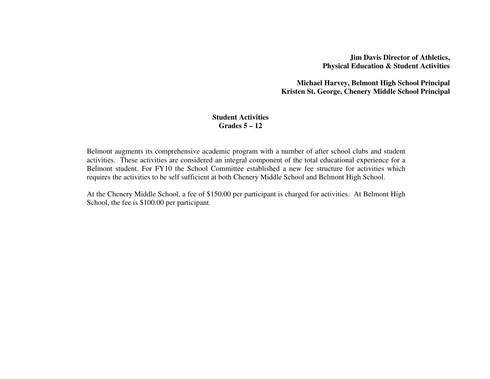**Jim Davis Director of Athletics, Physical Education & Student Activities** 

**Michael Harvey, Belmont High School Principal Kristen St. George, Chenery Middle School Principal**

## **Student Activities Grades 5 – 12**

Belmont augments its comprehensive academic program with a number of after school clubs and student activities. These activities are considered an integral component of the total educational experience for a Belmont student. For FY10 the School Committee established a new fee structure for activities which requires the activities to be self sufficient at both Chenery Middle School and Belmont High School.

At the Chenery Middle School, a fee of \$150.00 per participant is charged for activities. At Belmont High School, the fee is \$100.00 per participant.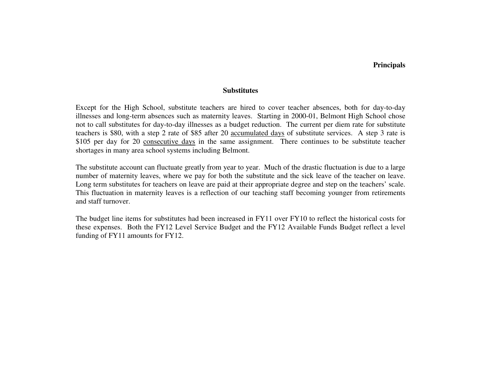#### **Principals**

#### **Substitutes**

Except for the High School, substitute teachers are hired to cover teacher absences, both for day-to-day illnesses and long-term absences such as maternity leaves. Starting in 2000-01, Belmont High School chose not to call substitutes for day-to-day illnesses as a budget reduction. The current per diem rate for substitute teachers is \$80, with a step 2 rate of \$85 after 20 accumulated days of substitute services. A step 3 rate is \$105 per day for 20 consecutive days in the same assignment. There continues to be substitute teacher shortages in many area school systems including Belmont.

The substitute account can fluctuate greatly from year to year. Much of the drastic fluctuation is due to a large number of maternity leaves, where we pay for both the substitute and the sick leave of the teacher on leave. Long term substitutes for teachers on leave are paid at their appropriate degree and step on the teachers' scale. This fluctuation in maternity leaves is a reflection of our teaching staff becoming younger from retirements and staff turnover.

The budget line items for substitutes had been increased in FY11 over FY10 to reflect the historical costs for these expenses. Both the FY12 Level Service Budget and the FY12 Available Funds Budget reflect a level funding of FY11 amounts for FY12.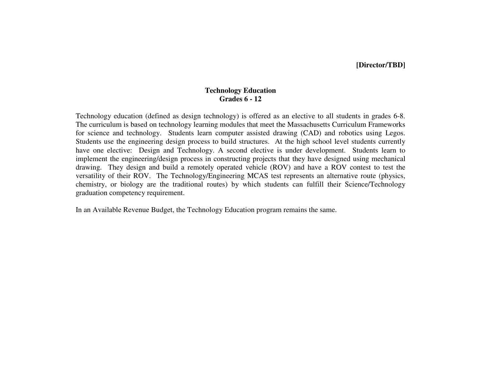## **[Director/TBD]**

## **Technology Education Grades 6 - 12**

Technology education (defined as design technology) is offered as an elective to all students in grades 6-8. The curriculum is based on technology learning modules that meet the Massachusetts Curriculum Frameworks for science and technology. Students learn computer assisted drawing (CAD) and robotics using Legos. Students use the engineering design process to build structures. At the high school level students currently have one elective: Design and Technology. A second elective is under development. Students learn to implement the engineering/design process in constructing projects that they have designed using mechanical drawing. They design and build a remotely operated vehicle (ROV) and have a ROV contest to test the versatility of their ROV. The Technology/Engineering MCAS test represents an alternative route (physics, chemistry, or biology are the traditional routes) by which students can fulfill their Science/Technology graduation competency requirement.

In an Available Revenue Budget, the Technology Education program remains the same.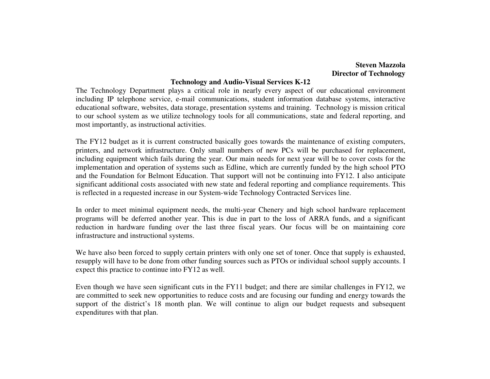## **Steven Mazzola Director of Technology**

#### **Technology and Audio-Visual Services K-12**

 The Technology Department plays a critical role in nearly every aspect of our educational environment including IP telephone service, e-mail communications, student information database systems, interactive educational software, websites, data storage, presentation systems and training. Technology is mission critical to our school system as we utilize technology tools for all communications, state and federal reporting, and most importantly, as instructional activities.

The FY12 budget as it is current constructed basically goes towards the maintenance of existing computers, printers, and network infrastructure. Only small numbers of new PCs will be purchased for replacement,including equipment which fails during the year. Our main needs for next year will be to cover costs for the implementation and operation of systems such as Edline, which are currently funded by the high school PTO and the Foundation for Belmont Education. That support will not be continuing into FY12. I also anticipate significant additional costs associated with new state and federal reporting and compliance requirements. This is reflected in a requested increase in our System-wide Technology Contracted Services line.

In order to meet minimal equipment needs, the multi-year Chenery and high school hardware replacement programs will be deferred another year. This is due in part to the loss of ARRA funds, and a significant reduction in hardware funding over the last three fiscal years. Our focus will be on maintaining core infrastructure and instructional systems.

We have also been forced to supply certain printers with only one set of toner. Once that supply is exhausted, resupply will have to be done from other funding sources such as PTOs or individual school supply accounts. I expect this practice to continue into FY12 as well.

Even though we have seen significant cuts in the FY11 budget; and there are similar challenges in FY12, we are committed to seek new opportunities to reduce costs and are focusing our funding and energy towards the support of the district's 18 month plan. We will continue to align our budget requests and subsequent expenditures with that plan.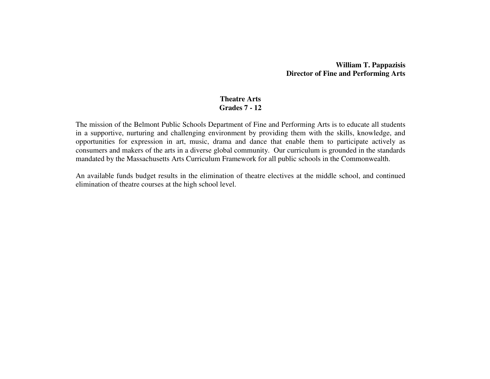## **William T. Pappazisis Director of Fine and Performing Arts**

### **Theatre Arts Grades 7 - 12**

The mission of the Belmont Public Schools Department of Fine and Performing Arts is to educate all students in a supportive, nurturing and challenging environment by providing them with the skills, knowledge, and opportunities for expression in art, music, drama and dance that enable them to participate actively as consumers and makers of the arts in a diverse global community. Our curriculum is grounded in the standards mandated by the Massachusetts Arts Curriculum Framework for all public schools in the Commonwealth.

An available funds budget results in the elimination of theatre electives at the middle school, and continued elimination of theatre courses at the high school level.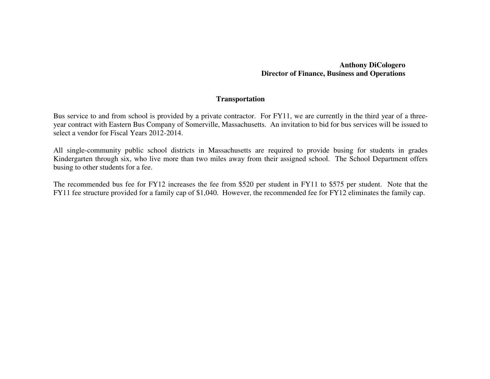## **Anthony DiCologero Director of Finance, Business and Operations**

## **Transportation**

Bus service to and from school is provided by a private contractor. For FY11, we are currently in the third year of a threeyear contract with Eastern Bus Company of Somerville, Massachusetts. An invitation to bid for bus services will be issued to select a vendor for Fiscal Years 2012-2014.

All single-community public school districts in Massachusetts are required to provide busing for students in grades Kindergarten through six, who live more than two miles away from their assigned school. The School Department offers busing to other students for a fee.

The recommended bus fee for FY12 increases the fee from \$520 per student in FY11 to \$575 per student. Note that the FY11 fee structure provided for a family cap of \$1,040. However, the recommended fee for FY12 eliminates the family cap.